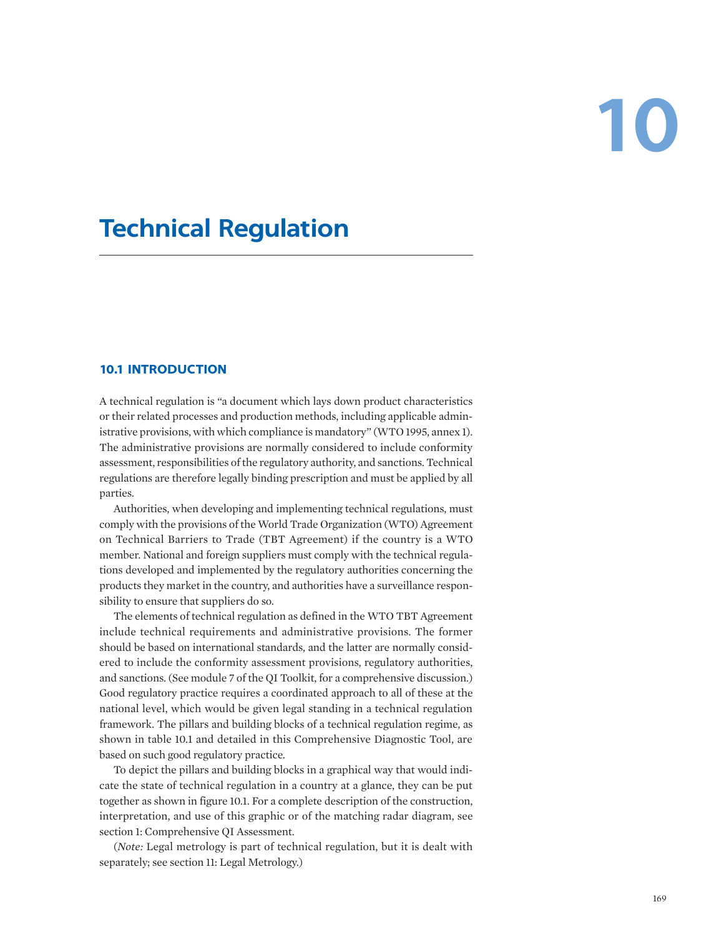# **10**

# **Technical Regulation**

# **10.1 INTRODUCTION**

A technical regulation is "a document which lays down product characteristics or their related processes and production methods, including applicable administrative provisions, with which compliance is mandatory" (WTO 1995, annex 1). The administrative provisions are normally considered to include conformity assessment, responsibilities of the regulatory authority, and sanctions. Technical regulations are therefore legally binding prescription and must be applied by all parties.

Authorities, when developing and implementing technical regulations, must comply with the provisions of the World Trade Organization (WTO) Agreement on Technical Barriers to Trade (TBT Agreement) if the country is a WTO member. National and foreign suppliers must comply with the technical regulations developed and implemented by the regulatory authorities concerning the products they market in the country, and authorities have a surveillance responsibility to ensure that suppliers do so.

The elements of technical regulation as defined in the WTO TBT Agreement include technical requirements and administrative provisions. The former should be based on international standards, and the latter are normally considered to include the conformity assessment provisions, regulatory authorities, and sanctions. (See module 7 of the QI Toolkit, for a comprehensive discussion.) Good regulatory practice requires a coordinated approach to all of these at the national level, which would be given legal standing in a technical regulation framework. The pillars and building blocks of a technical regulation regime, as shown in table 10.1 and detailed in this Comprehensive Diagnostic Tool, are based on such good regulatory practice.

To depict the pillars and building blocks in a graphical way that would indicate the state of technical regulation in a country at a glance, they can be put together as shown in figure 10.1. For a complete description of the construction, interpretation, and use of this graphic or of the matching radar diagram, see section 1: Comprehensive QI Assessment.

(*Note:* Legal metrology is part of technical regulation, but it is dealt with separately; see section 11: Legal Metrology.)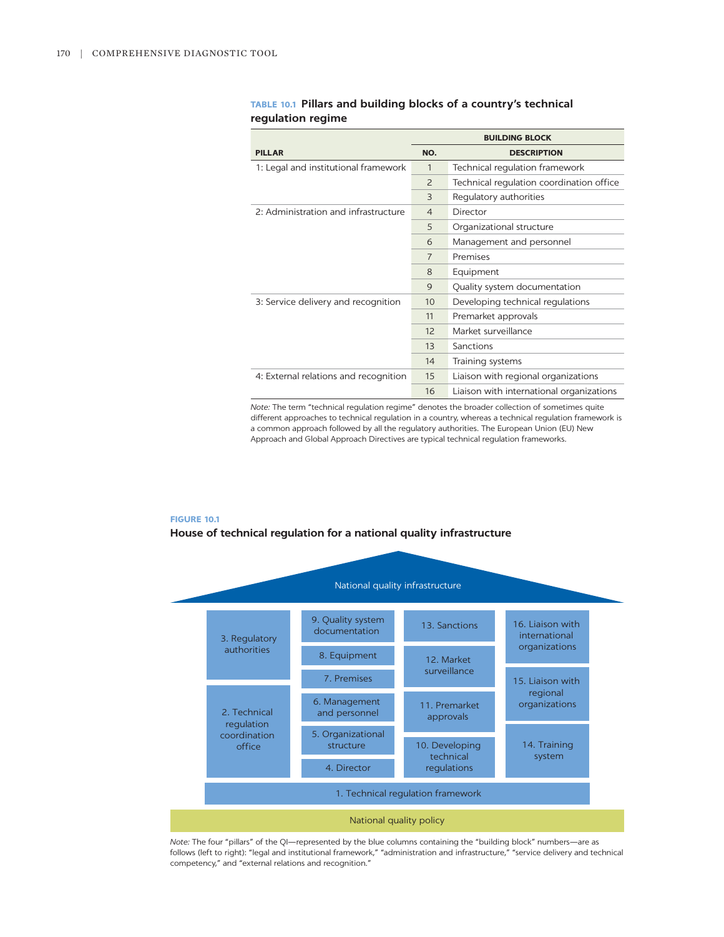|                                       | <b>BUILDING BLOCK</b> |                                          |  |
|---------------------------------------|-----------------------|------------------------------------------|--|
| <b>PILLAR</b>                         | NO.                   | <b>DESCRIPTION</b>                       |  |
| 1: Legal and institutional framework  | 1                     | Technical regulation framework           |  |
|                                       | $\overline{2}$        | Technical regulation coordination office |  |
|                                       | 3                     | Regulatory authorities                   |  |
| 2: Administration and infrastructure  | $\overline{4}$        | Director                                 |  |
|                                       | 5                     | Organizational structure                 |  |
|                                       | 6                     | Management and personnel                 |  |
|                                       | $\overline{7}$        | Premises                                 |  |
|                                       | 8                     | Equipment                                |  |
|                                       | 9                     | Quality system documentation             |  |
| 3: Service delivery and recognition   | 10                    | Developing technical regulations         |  |
|                                       | 11                    | Premarket approvals                      |  |
|                                       | 12                    | Market surveillance                      |  |
|                                       | 13                    | Sanctions                                |  |
|                                       | 14                    | Training systems                         |  |
| 4: External relations and recognition | 15                    | Liaison with regional organizations      |  |
|                                       | 16                    | Liaison with international organizations |  |

# **TABLE 10.1 Pillars and building blocks of a country's technical regulation regime**

*Note:* The term "technical regulation regime" denotes the broader collection of sometimes quite different approaches to technical regulation in a country, whereas a technical regulation framework is a common approach followed by all the regulatory authorities. The European Union (EU) New Approach and Global Approach Directives are typical technical regulation frameworks.

#### **FIGURE 10.1**

#### **House of technical regulation for a national quality infrastructure**



*Note:* The four "pillars" of the QI—represented by the blue columns containing the "building block" numbers—are as follows (left to right): "legal and institutional framework," "administration and infrastructure," "service delivery and technical competency," and "external relations and recognition."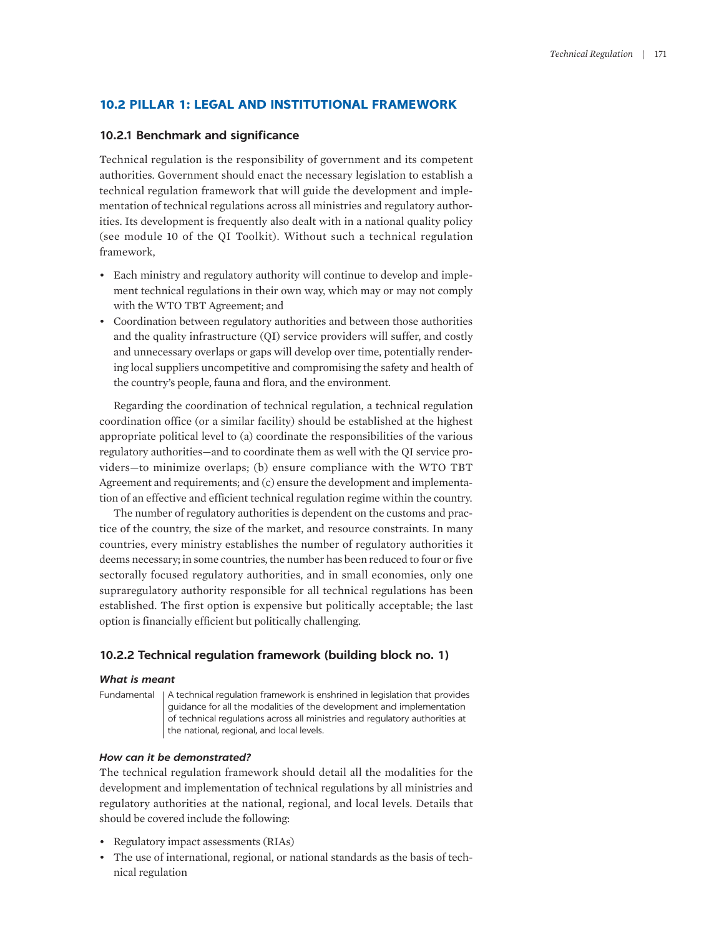# **10.2 PILLAR 1: LEGAL AND INSTITUTIONAL FRAMEWORK**

# **10.2.1 Benchmark and significance**

Technical regulation is the responsibility of government and its competent authorities. Government should enact the necessary legislation to establish a technical regulation framework that will guide the development and implementation of technical regulations across all ministries and regulatory authorities. Its development is frequently also dealt with in a national quality policy (see module 10 of the QI Toolkit). Without such a technical regulation framework,

- Each ministry and regulatory authority will continue to develop and implement technical regulations in their own way, which may or may not comply with the WTO TBT Agreement; and
- Coordination between regulatory authorities and between those authorities and the quality infrastructure (QI) service providers will suffer, and costly and unnecessary overlaps or gaps will develop over time, potentially rendering local suppliers uncompetitive and compromising the safety and health of the country's people, fauna and flora, and the environment.

Regarding the coordination of technical regulation, a technical regulation coordination office (or a similar facility) should be established at the highest appropriate political level to (a) coordinate the responsibilities of the various regulatory authorities—and to coordinate them as well with the QI service providers—to minimize overlaps; (b) ensure compliance with the WTO TBT Agreement and requirements; and (c) ensure the development and implementation of an effective and efficient technical regulation regime within the country.

The number of regulatory authorities is dependent on the customs and practice of the country, the size of the market, and resource constraints. In many countries, every ministry establishes the number of regulatory authorities it deems necessary; in some countries, the number has been reduced to four or five sectorally focused regulatory authorities, and in small economies, only one supraregulatory authority responsible for all technical regulations has been established. The first option is expensive but politically acceptable; the last option is financially efficient but politically challenging.

# **10.2.2 Technical regulation framework (building block no. 1)**

#### *What is meant*

Fundamental | A technical regulation framework is enshrined in legislation that provides guidance for all the modalities of the development and implementation of technical regulations across all ministries and regulatory authorities at the national, regional, and local levels.

#### *How can it be demonstrated?*

The technical regulation framework should detail all the modalities for the development and implementation of technical regulations by all ministries and regulatory authorities at the national, regional, and local levels. Details that should be covered include the following:

- Regulatory impact assessments (RIAs)
- The use of international, regional, or national standards as the basis of technical regulation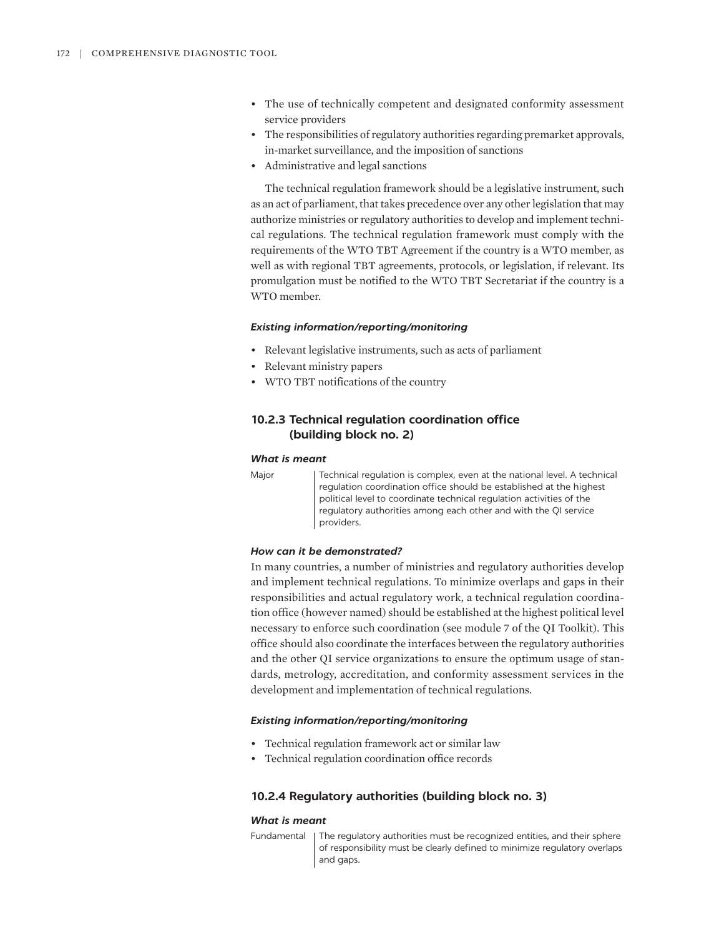- The use of technically competent and designated conformity assessment service providers
- The responsibilities of regulatory authorities regarding premarket approvals, in-market surveillance, and the imposition of sanctions
- Administrative and legal sanctions

The technical regulation framework should be a legislative instrument, such as an act of parliament, that takes precedence over any other legislation that may authorize ministries or regulatory authorities to develop and implement technical regulations. The technical regulation framework must comply with the requirements of the WTO TBT Agreement if the country is a WTO member, as well as with regional TBT agreements, protocols, or legislation, if relevant. Its promulgation must be notified to the WTO TBT Secretariat if the country is a WTO member.

#### *Existing information/reporting/monitoring*

- Relevant legislative instruments, such as acts of parliament
- Relevant ministry papers
- WTO TBT notifications of the country

# **10.2.3 Technical regulation coordination office (building block no. 2)**

#### *What is meant*

Major Technical regulation is complex, even at the national level. A technical regulation coordination office should be established at the highest political level to coordinate technical regulation activities of the regulatory authorities among each other and with the QI service providers.

#### *How can it be demonstrated?*

In many countries, a number of ministries and regulatory authorities develop and implement technical regulations. To minimize overlaps and gaps in their responsibilities and actual regulatory work, a technical regulation coordination office (however named) should be established at the highest political level necessary to enforce such coordination (see module 7 of the QI Toolkit). This office should also coordinate the interfaces between the regulatory authorities and the other QI service organizations to ensure the optimum usage of standards, metrology, accreditation, and conformity assessment services in the development and implementation of technical regulations.

#### *Existing information/reporting/monitoring*

- Technical regulation framework act or similar law
- Technical regulation coordination office records

#### **10.2.4 Regulatory authorities (building block no. 3)**

#### *What is meant*

Fundamental The regulatory authorities must be recognized entities, and their sphere of responsibility must be clearly defined to minimize regulatory overlaps and gaps.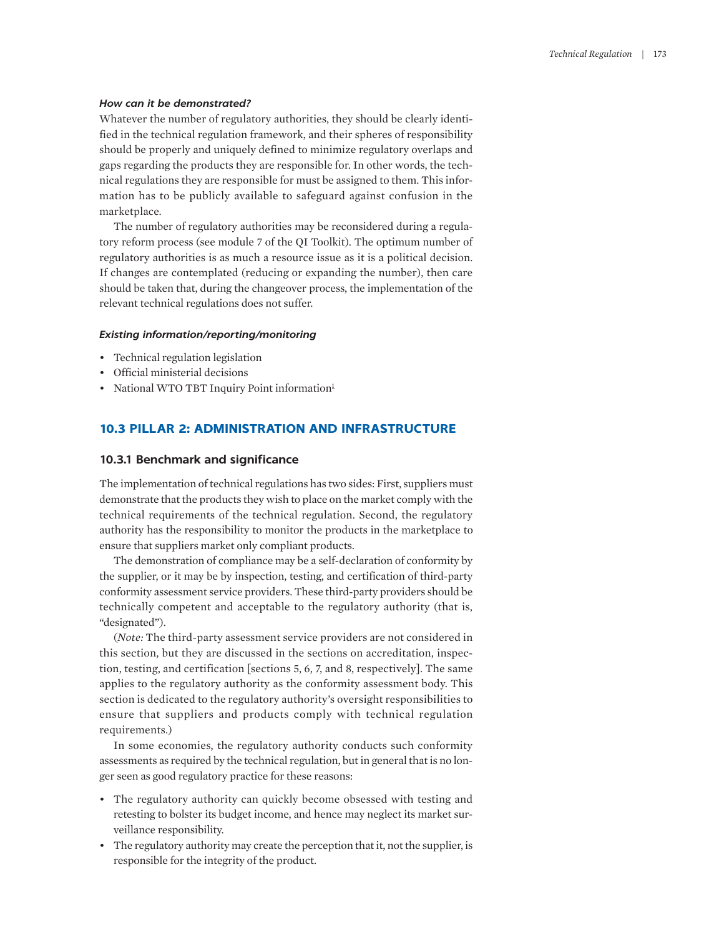#### *How can it be demonstrated?*

Whatever the number of regulatory authorities, they should be clearly identified in the technical regulation framework, and their spheres of responsibility should be properly and uniquely defined to minimize regulatory overlaps and gaps regarding the products they are responsible for. In other words, the technical regulations they are responsible for must be assigned to them. This information has to be publicly available to safeguard against confusion in the marketplace.

The number of regulatory authorities may be reconsidered during a regulatory reform process (see module 7 of the QI Toolkit). The optimum number of regulatory authorities is as much a resource issue as it is a political decision. If changes are contemplated (reducing or expanding the number), then care should be taken that, during the changeover process, the implementation of the relevant technical regulations does not suffer.

#### *Existing information/reporting/monitoring*

- Technical regulation legislation
- Official ministerial decisions
- <span id="page-4-0"></span>• National WTO TBT Inquiry Point information<sup>[1](#page-16-0)</sup>

# **10.3 PILLAR 2: ADMINISTRATION AND INFRASTRUCTURE**

#### **10.3.1 Benchmark and significance**

The implementation of technical regulations has two sides: First, suppliers must demonstrate that the products they wish to place on the market comply with the technical requirements of the technical regulation. Second, the regulatory authority has the responsibility to monitor the products in the marketplace to ensure that suppliers market only compliant products.

The demonstration of compliance may be a self-declaration of conformity by the supplier, or it may be by inspection, testing, and certification of third-party conformity assessment service providers. These third-party providers should be technically competent and acceptable to the regulatory authority (that is, "designated").

(*Note:* The third-party assessment service providers are not considered in this section, but they are discussed in the sections on accreditation, inspection, testing, and certification [sections 5, 6, 7, and 8, respectively]. The same applies to the regulatory authority as the conformity assessment body. This section is dedicated to the regulatory authority's oversight responsibilities to ensure that suppliers and products comply with technical regulation requirements.)

In some economies, the regulatory authority conducts such conformity assessments as required by the technical regulation, but in general that is no longer seen as good regulatory practice for these reasons:

- The regulatory authority can quickly become obsessed with testing and retesting to bolster its budget income, and hence may neglect its market surveillance responsibility.
- The regulatory authority may create the perception that it, not the supplier, is responsible for the integrity of the product.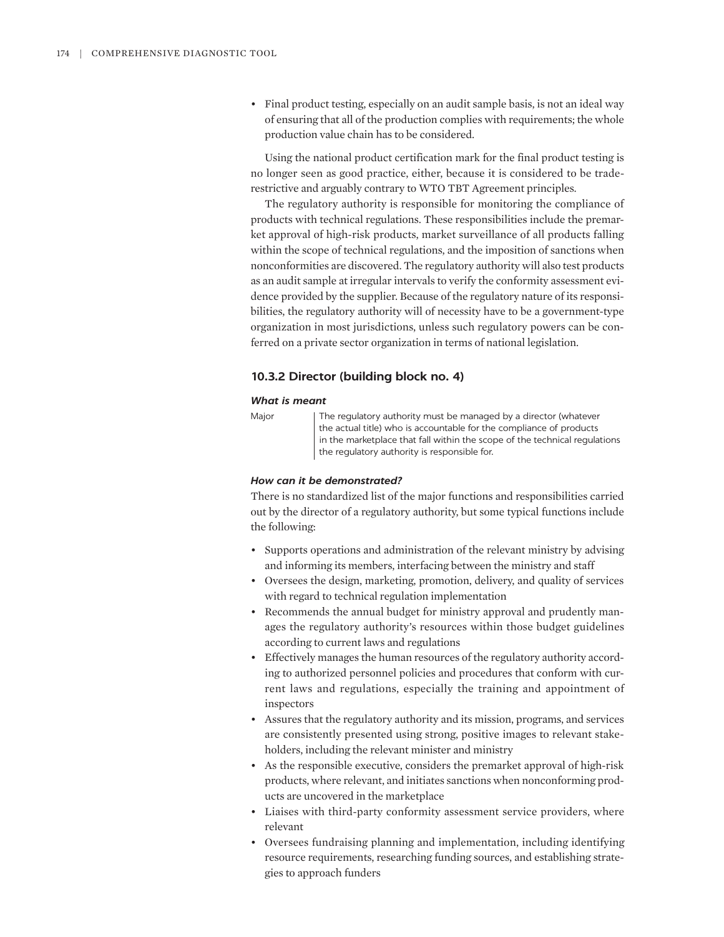• Final product testing, especially on an audit sample basis, is not an ideal way of ensuring that all of the production complies with requirements; the whole production value chain has to be considered.

Using the national product certification mark for the final product testing is no longer seen as good practice, either, because it is considered to be traderestrictive and arguably contrary to WTO TBT Agreement principles.

The regulatory authority is responsible for monitoring the compliance of products with technical regulations. These responsibilities include the premarket approval of high-risk products, market surveillance of all products falling within the scope of technical regulations, and the imposition of sanctions when nonconformities are discovered. The regulatory authority will also test products as an audit sample at irregular intervals to verify the conformity assessment evidence provided by the supplier. Because of the regulatory nature of its responsibilities, the regulatory authority will of necessity have to be a government-type organization in most jurisdictions, unless such regulatory powers can be conferred on a private sector organization in terms of national legislation.

#### **10.3.2 Director (building block no. 4)**

#### *What is meant*

| ٠<br>г |  |  |
|--------|--|--|
|        |  |  |

Major | The regulatory authority must be managed by a director (whatever the actual title) who is accountable for the compliance of products in the marketplace that fall within the scope of the technical regulations the regulatory authority is responsible for.

#### *How can it be demonstrated?*

There is no standardized list of the major functions and responsibilities carried out by the director of a regulatory authority, but some typical functions include the following:

- Supports operations and administration of the relevant ministry by advising and informing its members, interfacing between the ministry and staff
- Oversees the design, marketing, promotion, delivery, and quality of services with regard to technical regulation implementation
- Recommends the annual budget for ministry approval and prudently manages the regulatory authority's resources within those budget guidelines according to current laws and regulations
- Effectively manages the human resources of the regulatory authority according to authorized personnel policies and procedures that conform with current laws and regulations, especially the training and appointment of inspectors
- Assures that the regulatory authority and its mission, programs, and services are consistently presented using strong, positive images to relevant stakeholders, including the relevant minister and ministry
- As the responsible executive, considers the premarket approval of high-risk products, where relevant, and initiates sanctions when nonconforming products are uncovered in the marketplace
- Liaises with third-party conformity assessment service providers, where relevant
- Oversees fundraising planning and implementation, including identifying resource requirements, researching funding sources, and establishing strategies to approach funders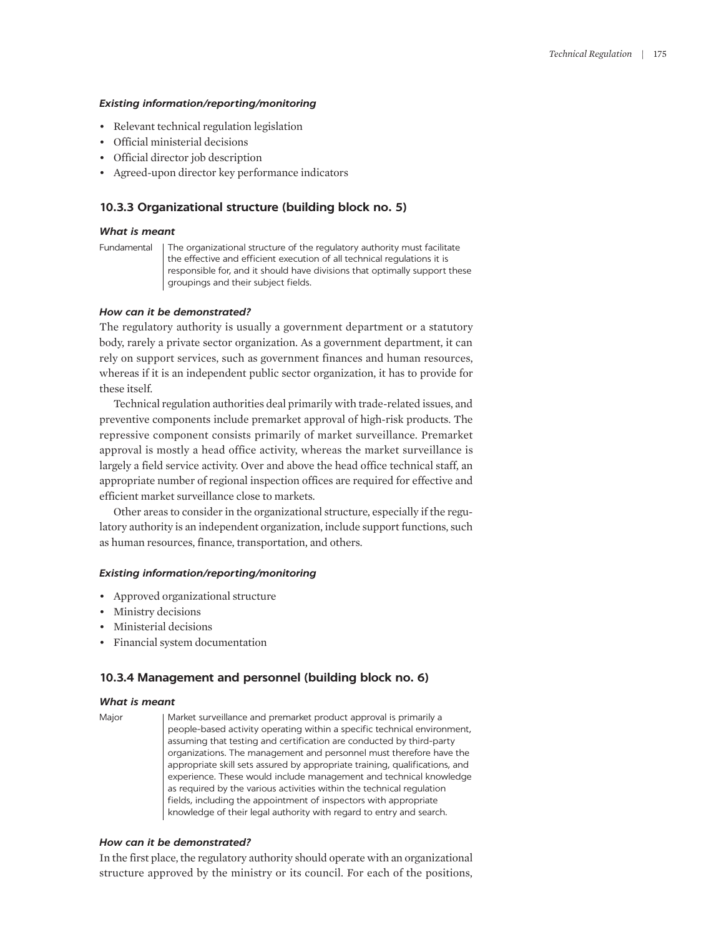#### *Existing information/reporting/monitoring*

- Relevant technical regulation legislation
- Official ministerial decisions
- Official director job description
- Agreed-upon director key performance indicators

# **10.3.3 Organizational structure (building block no. 5)**

# *What is meant*

Fundamental The organizational structure of the regulatory authority must facilitate the effective and efficient execution of all technical regulations it is responsible for, and it should have divisions that optimally support these groupings and their subject fields.

#### *How can it be demonstrated?*

The regulatory authority is usually a government department or a statutory body, rarely a private sector organization. As a government department, it can rely on support services, such as government finances and human resources, whereas if it is an independent public sector organization, it has to provide for these itself.

Technical regulation authorities deal primarily with trade-related issues, and preventive components include premarket approval of high-risk products. The repressive component consists primarily of market surveillance. Premarket approval is mostly a head office activity, whereas the market surveillance is largely a field service activity. Over and above the head office technical staff, an appropriate number of regional inspection offices are required for effective and efficient market surveillance close to markets.

Other areas to consider in the organizational structure, especially if the regulatory authority is an independent organization, include support functions, such as human resources, finance, transportation, and others.

#### *Existing information/reporting/monitoring*

- Approved organizational structure
- Ministry decisions
- Ministerial decisions
- Financial system documentation

#### **10.3.4 Management and personnel (building block no. 6)**

#### *What is meant*

Major | Market surveillance and premarket product approval is primarily a people-based activity operating within a specific technical environment, assuming that testing and certification are conducted by third-party organizations. The management and personnel must therefore have the appropriate skill sets assured by appropriate training, qualifications, and experience. These would include management and technical knowledge as required by the various activities within the technical regulation fields, including the appointment of inspectors with appropriate knowledge of their legal authority with regard to entry and search.

#### *How can it be demonstrated?*

In the first place, the regulatory authority should operate with an organizational structure approved by the ministry or its council. For each of the positions,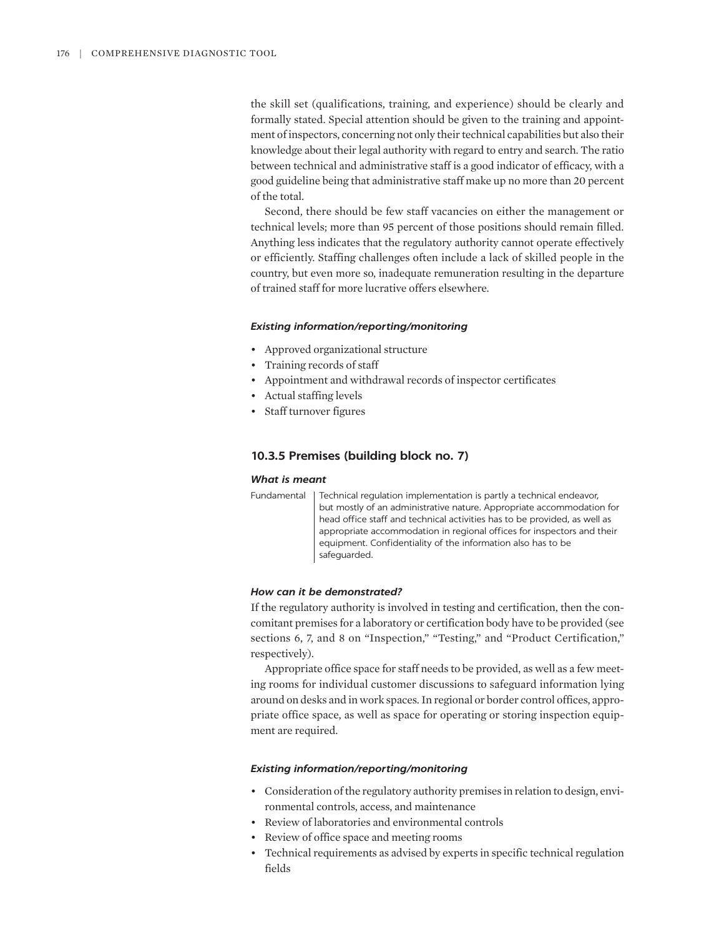the skill set (qualifications, training, and experience) should be clearly and formally stated. Special attention should be given to the training and appointment of inspectors, concerning not only their technical capabilities but also their knowledge about their legal authority with regard to entry and search. The ratio between technical and administrative staff is a good indicator of efficacy, with a good guideline being that administrative staff make up no more than 20 percent of the total.

Second, there should be few staff vacancies on either the management or technical levels; more than 95 percent of those positions should remain filled. Anything less indicates that the regulatory authority cannot operate effectively or efficiently. Staffing challenges often include a lack of skilled people in the country, but even more so, inadequate remuneration resulting in the departure of trained staff for more lucrative offers elsewhere.

#### *Existing information/reporting/monitoring*

- Approved organizational structure
- Training records of staff
- Appointment and withdrawal records of inspector certificates
- Actual staffing levels
- Staff turnover figures

#### **10.3.5 Premises (building block no. 7)**

#### *What is meant*

Fundamental | Technical regulation implementation is partly a technical endeavor, but mostly of an administrative nature. Appropriate accommodation for head office staff and technical activities has to be provided, as well as appropriate accommodation in regional offices for inspectors and their equipment. Confidentiality of the information also has to be safeguarded.

#### *How can it be demonstrated?*

If the regulatory authority is involved in testing and certification, then the concomitant premises for a laboratory or certification body have to be provided (see sections 6, 7, and 8 on "Inspection," "Testing," and "Product Certification," respectively).

Appropriate office space for staff needs to be provided, as well as a few meeting rooms for individual customer discussions to safeguard information lying around on desks and in work spaces. In regional or border control offices, appropriate office space, as well as space for operating or storing inspection equipment are required.

#### *Existing information/reporting/monitoring*

- Consideration of the regulatory authority premises in relation to design, environmental controls, access, and maintenance
- Review of laboratories and environmental controls
- Review of office space and meeting rooms
- Technical requirements as advised by experts in specific technical regulation fields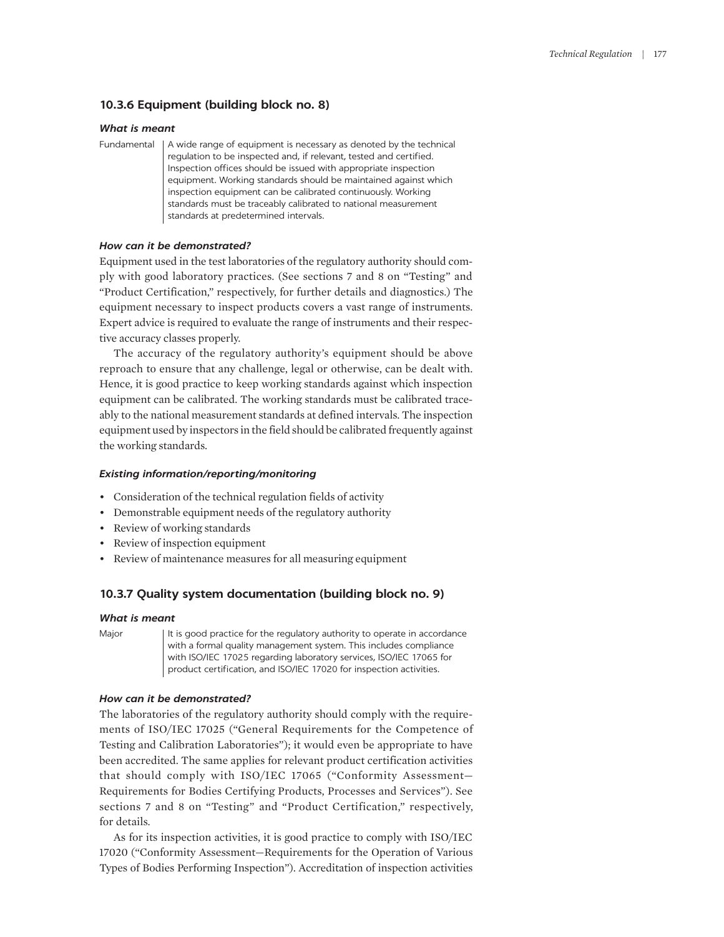# **10.3.6 Equipment (building block no. 8)**

#### *What is meant*

Fundamental | A wide range of equipment is necessary as denoted by the technical regulation to be inspected and, if relevant, tested and certified. Inspection offices should be issued with appropriate inspection equipment. Working standards should be maintained against which inspection equipment can be calibrated continuously. Working standards must be traceably calibrated to national measurement standards at predetermined intervals.

#### *How can it be demonstrated?*

Equipment used in the test laboratories of the regulatory authority should comply with good laboratory practices. (See sections 7 and 8 on "Testing" and "Product Certification," respectively, for further details and diagnostics.) The equipment necessary to inspect products covers a vast range of instruments. Expert advice is required to evaluate the range of instruments and their respective accuracy classes properly.

The accuracy of the regulatory authority's equipment should be above reproach to ensure that any challenge, legal or otherwise, can be dealt with. Hence, it is good practice to keep working standards against which inspection equipment can be calibrated. The working standards must be calibrated traceably to the national measurement standards at defined intervals. The inspection equipment used by inspectors in the field should be calibrated frequently against the working standards.

#### *Existing information/reporting/monitoring*

- Consideration of the technical regulation fields of activity
- Demonstrable equipment needs of the regulatory authority
- Review of working standards
- Review of inspection equipment
- Review of maintenance measures for all measuring equipment

# **10.3.7 Quality system documentation (building block no. 9)**

#### *What is meant*

Major It is good practice for the regulatory authority to operate in accordance with a formal quality management system. This includes compliance with ISO/IEC 17025 regarding laboratory services, ISO/IEC 17065 for product certification, and ISO/IEC 17020 for inspection activities.

#### *How can it be demonstrated?*

The laboratories of the regulatory authority should comply with the requirements of ISO/IEC 17025 ("General Requirements for the Competence of Testing and Calibration Laboratories"); it would even be appropriate to have been accredited. The same applies for relevant product certification activities that should comply with ISO/IEC 17065 ("Conformity Assessment— Requirements for Bodies Certifying Products, Processes and Services"). See sections 7 and 8 on "Testing" and "Product Certification," respectively, for details.

As for its inspection activities, it is good practice to comply with ISO/IEC 17020 ("Conformity Assessment—Requirements for the Operation of Various Types of Bodies Performing Inspection"). Accreditation of inspection activities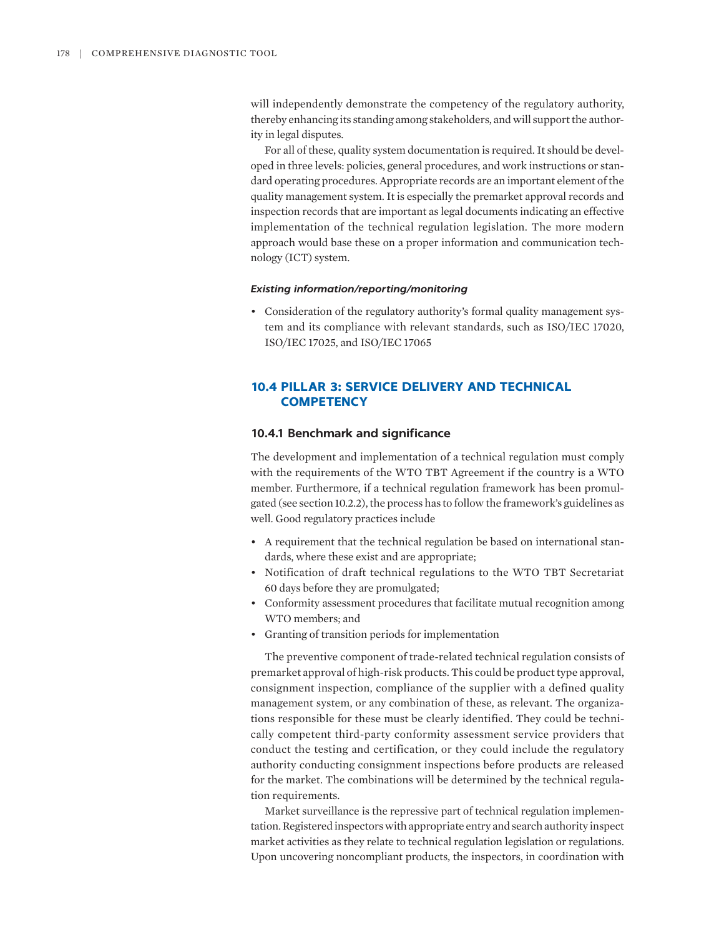will independently demonstrate the competency of the regulatory authority, thereby enhancing its standing among stakeholders, and will support the authority in legal disputes.

For all of these, quality system documentation is required. It should be developed in three levels: policies, general procedures, and work instructions or standard operating procedures. Appropriate records are an important element of the quality management system. It is especially the premarket approval records and inspection records that are important as legal documents indicating an effective implementation of the technical regulation legislation. The more modern approach would base these on a proper information and communication technology (ICT) system.

#### *Existing information/reporting/monitoring*

• Consideration of the regulatory authority's formal quality management system and its compliance with relevant standards, such as ISO/IEC 17020, ISO/IEC 17025, and ISO/IEC 17065

# **10.4 PILLAR 3: SERVICE DELIVERY AND TECHNICAL COMPETENCY**

#### **10.4.1 Benchmark and significance**

The development and implementation of a technical regulation must comply with the requirements of the WTO TBT Agreement if the country is a WTO member. Furthermore, if a technical regulation framework has been promulgated (see section 10.2.2), the process has to follow the framework's guidelines as well. Good regulatory practices include

- A requirement that the technical regulation be based on international standards, where these exist and are appropriate;
- Notification of draft technical regulations to the WTO TBT Secretariat 60 days before they are promulgated;
- Conformity assessment procedures that facilitate mutual recognition among WTO members; and
- Granting of transition periods for implementation

The preventive component of trade-related technical regulation consists of premarket approval of high-risk products. This could be product type approval, consignment inspection, compliance of the supplier with a defined quality management system, or any combination of these, as relevant. The organizations responsible for these must be clearly identified. They could be technically competent third-party conformity assessment service providers that conduct the testing and certification, or they could include the regulatory authority conducting consignment inspections before products are released for the market. The combinations will be determined by the technical regulation requirements.

Market surveillance is the repressive part of technical regulation implementation. Registered inspectors with appropriate entry and search authority inspect market activities as they relate to technical regulation legislation or regulations. Upon uncovering noncompliant products, the inspectors, in coordination with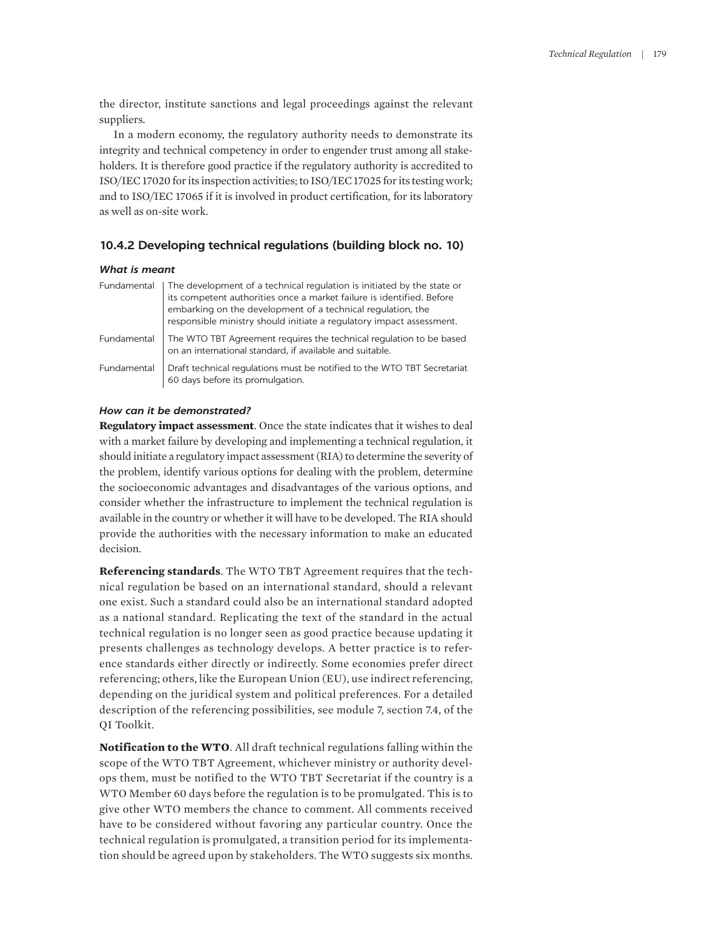the director, institute sanctions and legal proceedings against the relevant suppliers.

In a modern economy, the regulatory authority needs to demonstrate its integrity and technical competency in order to engender trust among all stakeholders. It is therefore good practice if the regulatory authority is accredited to ISO/IEC 17020 for its inspection activities; to ISO/IEC 17025 for its testing work; and to ISO/IEC 17065 if it is involved in product certification, for its laboratory as well as on-site work.

# **10.4.2 Developing technical regulations (building block no. 10)**

#### *What is meant*

| Fundamental | The development of a technical regulation is initiated by the state or<br>its competent authorities once a market failure is identified. Before<br>embarking on the development of a technical regulation, the<br>responsible ministry should initiate a regulatory impact assessment. |
|-------------|----------------------------------------------------------------------------------------------------------------------------------------------------------------------------------------------------------------------------------------------------------------------------------------|
| Fundamental | The WTO TBT Agreement requires the technical regulation to be based<br>on an international standard, if available and suitable.                                                                                                                                                        |
| Fundamental | Draft technical regulations must be notified to the WTO TBT Secretariat<br>60 days before its promulgation.                                                                                                                                                                            |

# *How can it be demonstrated?*

**Regulatory impact assessment**. Once the state indicates that it wishes to deal with a market failure by developing and implementing a technical regulation, it should initiate a regulatory impact assessment (RIA) to determine the severity of the problem, identify various options for dealing with the problem, determine the socioeconomic advantages and disadvantages of the various options, and consider whether the infrastructure to implement the technical regulation is available in the country or whether it will have to be developed. The RIA should provide the authorities with the necessary information to make an educated decision.

**Referencing standards**. The WTO TBT Agreement requires that the technical regulation be based on an international standard, should a relevant one exist. Such a standard could also be an international standard adopted as a national standard. Replicating the text of the standard in the actual technical regulation is no longer seen as good practice because updating it presents challenges as technology develops. A better practice is to reference standards either directly or indirectly. Some economies prefer direct referencing; others, like the European Union (EU), use indirect referencing, depending on the juridical system and political preferences. For a detailed description of the referencing possibilities, see module 7, section 7.4, of the QI Toolkit.

**Notification to the WTO**. All draft technical regulations falling within the scope of the WTO TBT Agreement, whichever ministry or authority develops them, must be notified to the WTO TBT Secretariat if the country is a WTO Member 60 days before the regulation is to be promulgated. This is to give other WTO members the chance to comment. All comments received have to be considered without favoring any particular country. Once the technical regulation is promulgated, a transition period for its implementation should be agreed upon by stakeholders. The WTO suggests six months.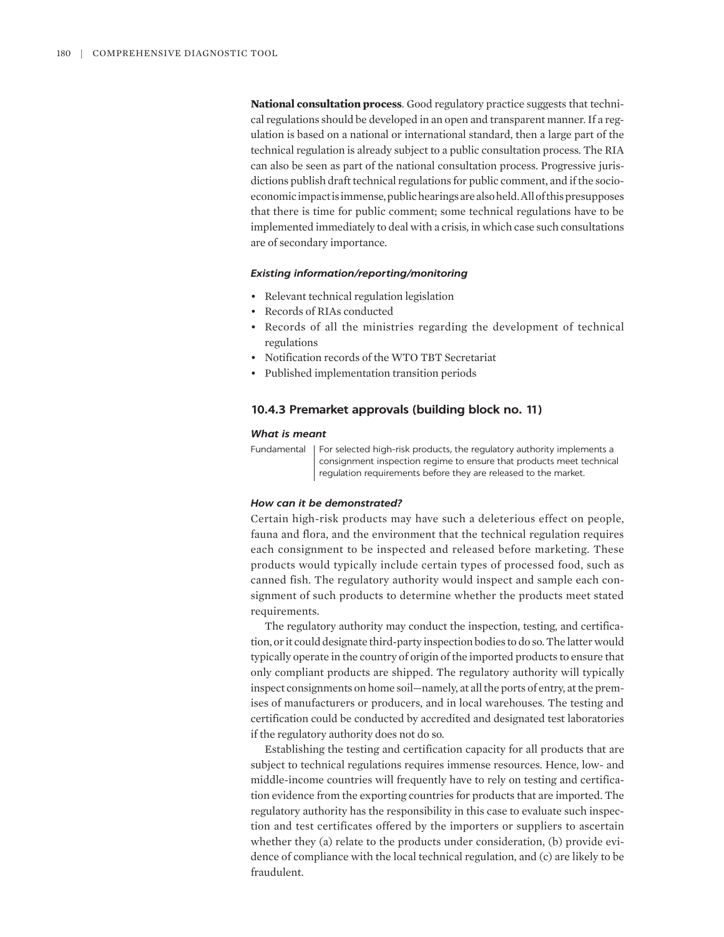**National consultation process**. Good regulatory practice suggests that technical regulations should be developed in an open and transparent manner. If a regulation is based on a national or international standard, then a large part of the technical regulation is already subject to a public consultation process. The RIA can also be seen as part of the national consultation process. Progressive jurisdictions publish draft technical regulations for public comment, and if the socioeconomic impact is immense, public hearings are also held. All of this presupposes that there is time for public comment; some technical regulations have to be implemented immediately to deal with a crisis, in which case such consultations are of secondary importance.

#### *Existing information/reporting/monitoring*

- Relevant technical regulation legislation
- Records of RIAs conducted
- Records of all the ministries regarding the development of technical regulations
- Notification records of the WTO TBT Secretariat
- Published implementation transition periods

#### **10.4.3 Premarket approvals (building block no. 11)**

#### *What is meant*

Fundamental | For selected high-risk products, the regulatory authority implements a consignment inspection regime to ensure that products meet technical regulation requirements before they are released to the market.

#### *How can it be demonstrated?*

Certain high-risk products may have such a deleterious effect on people, fauna and flora, and the environment that the technical regulation requires each consignment to be inspected and released before marketing. These products would typically include certain types of processed food, such as canned fish. The regulatory authority would inspect and sample each consignment of such products to determine whether the products meet stated requirements.

The regulatory authority may conduct the inspection, testing, and certification, or it could designate third-party inspection bodies to do so. The latter would typically operate in the country of origin of the imported products to ensure that only compliant products are shipped. The regulatory authority will typically inspect consignments on home soil—namely, at all the ports of entry, at the premises of manufacturers or producers, and in local warehouses. The testing and certification could be conducted by accredited and designated test laboratories if the regulatory authority does not do so.

Establishing the testing and certification capacity for all products that are subject to technical regulations requires immense resources. Hence, low- and middle-income countries will frequently have to rely on testing and certification evidence from the exporting countries for products that are imported. The regulatory authority has the responsibility in this case to evaluate such inspection and test certificates offered by the importers or suppliers to ascertain whether they (a) relate to the products under consideration, (b) provide evidence of compliance with the local technical regulation, and (c) are likely to be fraudulent.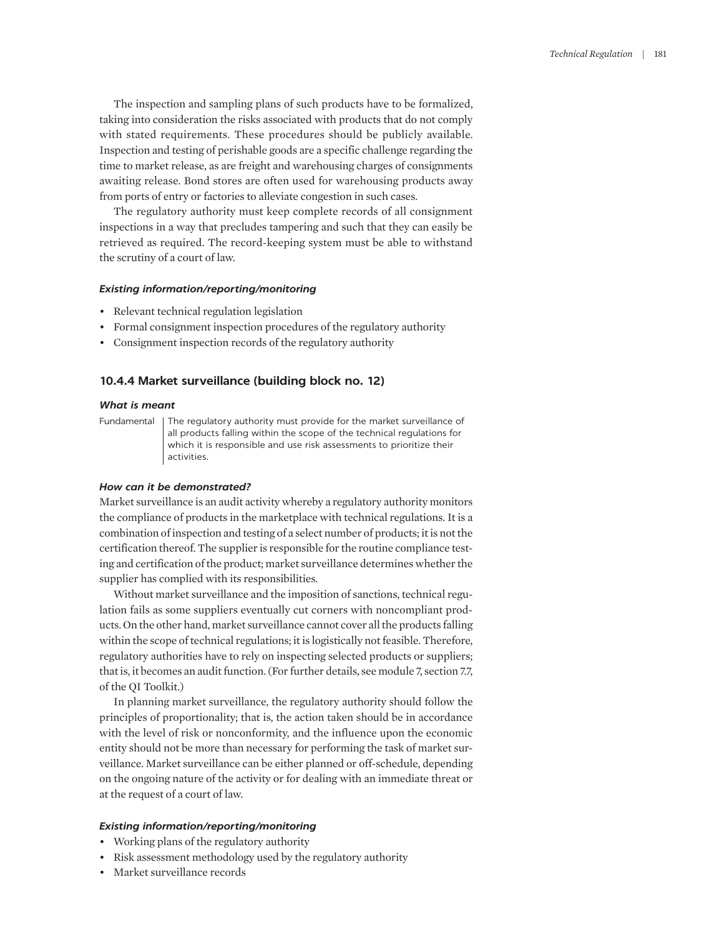The inspection and sampling plans of such products have to be formalized, taking into consideration the risks associated with products that do not comply with stated requirements. These procedures should be publicly available. Inspection and testing of perishable goods are a specific challenge regarding the time to market release, as are freight and warehousing charges of consignments awaiting release. Bond stores are often used for warehousing products away from ports of entry or factories to alleviate congestion in such cases.

The regulatory authority must keep complete records of all consignment inspections in a way that precludes tampering and such that they can easily be retrieved as required. The record-keeping system must be able to withstand the scrutiny of a court of law.

#### *Existing information/reporting/monitoring*

- Relevant technical regulation legislation
- Formal consignment inspection procedures of the regulatory authority
- Consignment inspection records of the regulatory authority

#### **10.4.4 Market surveillance (building block no. 12)**

#### *What is meant*

Fundamental The regulatory authority must provide for the market surveillance of all products falling within the scope of the technical regulations for which it is responsible and use risk assessments to prioritize their activities.

#### *How can it be demonstrated?*

Market surveillance is an audit activity whereby a regulatory authority monitors the compliance of products in the marketplace with technical regulations. It is a combination of inspection and testing of a select number of products; it is not the certification thereof. The supplier is responsible for the routine compliance testing and certification of the product; market surveillance determines whether the supplier has complied with its responsibilities.

Without market surveillance and the imposition of sanctions, technical regulation fails as some suppliers eventually cut corners with noncompliant products. On the other hand, market surveillance cannot cover all the products falling within the scope of technical regulations; it is logistically not feasible. Therefore, regulatory authorities have to rely on inspecting selected products or suppliers; that is, it becomes an audit function. (For further details, see module 7, section 7.7, of the QI Toolkit.)

In planning market surveillance, the regulatory authority should follow the principles of proportionality; that is, the action taken should be in accordance with the level of risk or nonconformity, and the influence upon the economic entity should not be more than necessary for performing the task of market surveillance. Market surveillance can be either planned or off-schedule, depending on the ongoing nature of the activity or for dealing with an immediate threat or at the request of a court of law.

#### *Existing information/reporting/monitoring*

- Working plans of the regulatory authority
- Risk assessment methodology used by the regulatory authority
- Market surveillance records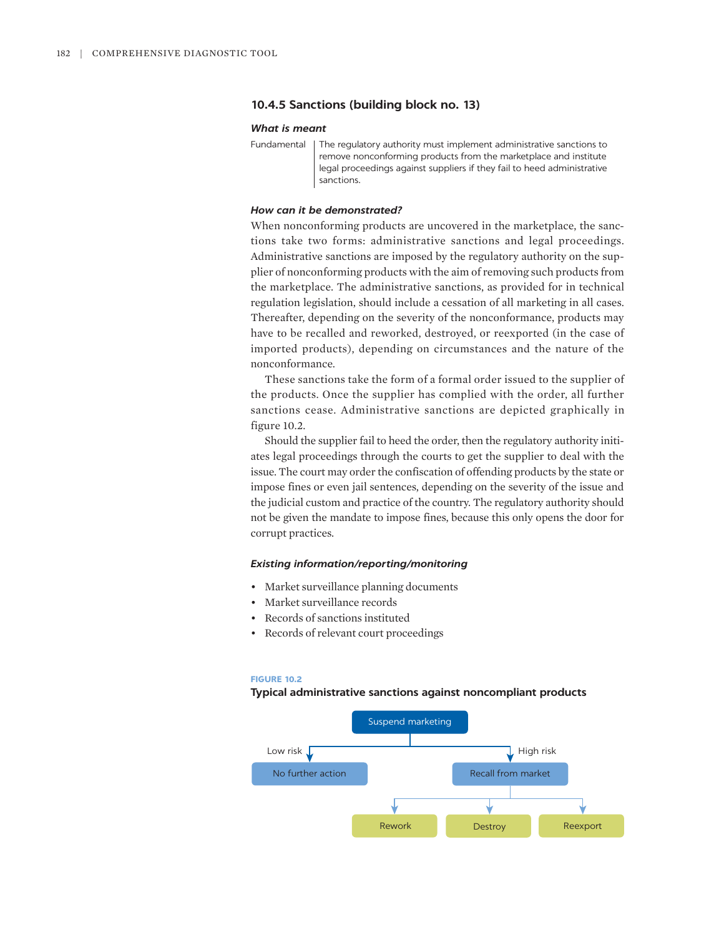#### **10.4.5 Sanctions (building block no. 13)**

#### *What is meant*

#### *How can it be demonstrated?*

When nonconforming products are uncovered in the marketplace, the sanctions take two forms: administrative sanctions and legal proceedings. Administrative sanctions are imposed by the regulatory authority on the supplier of nonconforming products with the aim of removing such products from the marketplace. The administrative sanctions, as provided for in technical regulation legislation, should include a cessation of all marketing in all cases. Thereafter, depending on the severity of the nonconformance, products may have to be recalled and reworked, destroyed, or reexported (in the case of imported products), depending on circumstances and the nature of the nonconformance.

These sanctions take the form of a formal order issued to the supplier of the products. Once the supplier has complied with the order, all further sanctions cease. Administrative sanctions are depicted graphically in figure 10.2.

Should the supplier fail to heed the order, then the regulatory authority initiates legal proceedings through the courts to get the supplier to deal with the issue. The court may order the confiscation of offending products by the state or impose fines or even jail sentences, depending on the severity of the issue and the judicial custom and practice of the country. The regulatory authority should not be given the mandate to impose fines, because this only opens the door for corrupt practices.

#### *Existing information/reporting/monitoring*

- Market surveillance planning documents
- Market surveillance records
- Records of sanctions instituted
- Records of relevant court proceedings

#### **FIGURE 10.2**

#### **Typical administrative sanctions against noncompliant products**



Fundamental The regulatory authority must implement administrative sanctions to remove nonconforming products from the marketplace and institute legal proceedings against suppliers if they fail to heed administrative sanctions.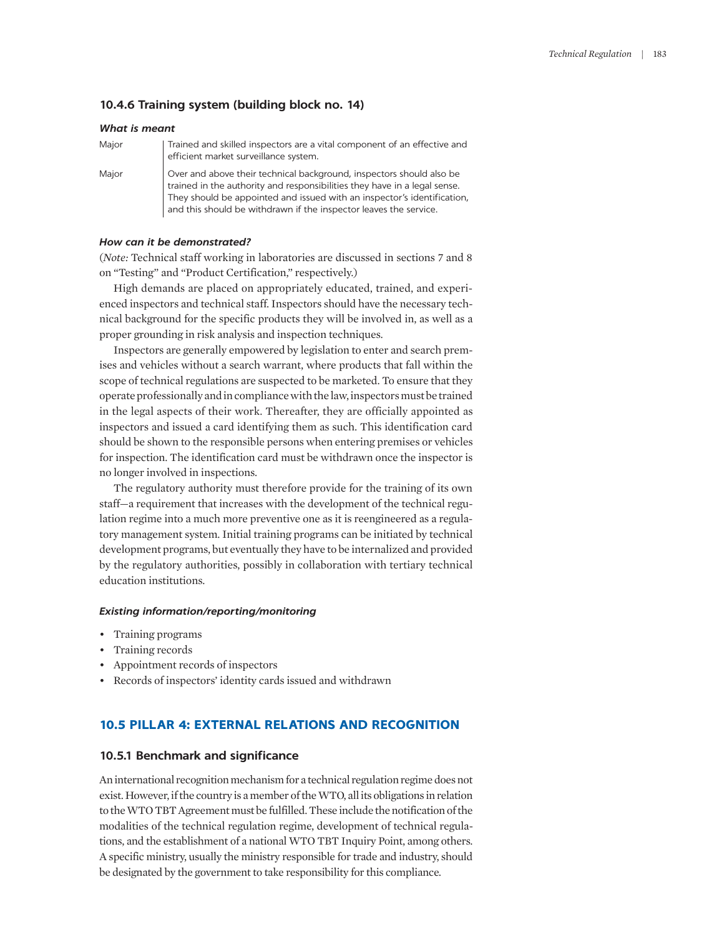#### **10.4.6 Training system (building block no. 14)**

|       | <b>What is meant</b>                                                                                                                                                                                                                                                                              |  |
|-------|---------------------------------------------------------------------------------------------------------------------------------------------------------------------------------------------------------------------------------------------------------------------------------------------------|--|
| Major | Trained and skilled inspectors are a vital component of an effective and<br>efficient market surveillance system.                                                                                                                                                                                 |  |
| Major | Over and above their technical background, inspectors should also be<br>trained in the authority and responsibilities they have in a legal sense.<br>They should be appointed and issued with an inspector's identification,<br>and this should be withdrawn if the inspector leaves the service. |  |

#### *How can it be demonstrated?*

(*Note:* Technical staff working in laboratories are discussed in sections 7 and 8 on "Testing" and "Product Certification," respectively.)

High demands are placed on appropriately educated, trained, and experienced inspectors and technical staff. Inspectors should have the necessary technical background for the specific products they will be involved in, as well as a proper grounding in risk analysis and inspection techniques.

Inspectors are generally empowered by legislation to enter and search premises and vehicles without a search warrant, where products that fall within the scope of technical regulations are suspected to be marketed. To ensure that they operate professionally and in compliance with the law, inspectors must be trained in the legal aspects of their work. Thereafter, they are officially appointed as inspectors and issued a card identifying them as such. This identification card should be shown to the responsible persons when entering premises or vehicles for inspection. The identification card must be withdrawn once the inspector is no longer involved in inspections.

The regulatory authority must therefore provide for the training of its own staff—a requirement that increases with the development of the technical regulation regime into a much more preventive one as it is reengineered as a regulatory management system. Initial training programs can be initiated by technical development programs, but eventually they have to be internalized and provided by the regulatory authorities, possibly in collaboration with tertiary technical education institutions.

#### *Existing information/reporting/monitoring*

- Training programs
- Training records
- Appointment records of inspectors
- Records of inspectors' identity cards issued and withdrawn

# **10.5 PILLAR 4: EXTERNAL RELATIONS AND RECOGNITION**

#### **10.5.1 Benchmark and significance**

An international recognition mechanism for a technical regulation regime does not exist. However, if the country is a member of the WTO, all its obligations in relation to the WTO TBT Agreement must be fulfilled. These include the notification of the modalities of the technical regulation regime, development of technical regulations, and the establishment of a national WTO TBT Inquiry Point, among others. A specific ministry, usually the ministry responsible for trade and industry, should be designated by the government to take responsibility for this compliance.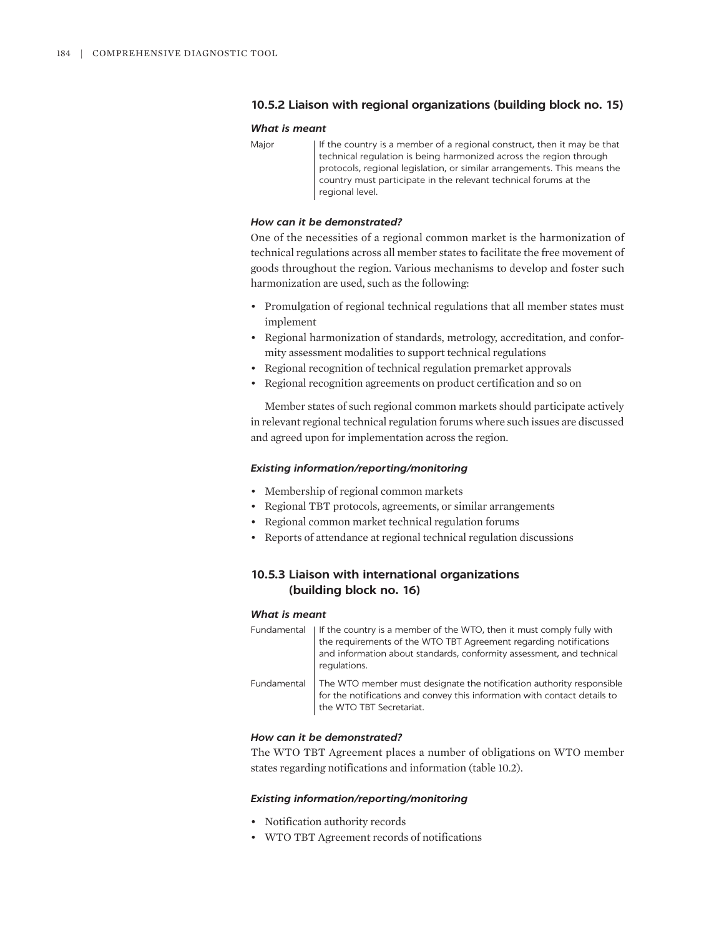# **10.5.2 Liaison with regional organizations (building block no. 15)**

#### *What is meant*

Major | If the country is a member of a regional construct, then it may be that technical regulation is being harmonized across the region through protocols, regional legislation, or similar arrangements. This means the country must participate in the relevant technical forums at the regional level.

#### *How can it be demonstrated?*

One of the necessities of a regional common market is the harmonization of technical regulations across all member states to facilitate the free movement of goods throughout the region. Various mechanisms to develop and foster such harmonization are used, such as the following:

- Promulgation of regional technical regulations that all member states must implement
- Regional harmonization of standards, metrology, accreditation, and conformity assessment modalities to support technical regulations
- Regional recognition of technical regulation premarket approvals
- Regional recognition agreements on product certification and so on

Member states of such regional common markets should participate actively in relevant regional technical regulation forums where such issues are discussed and agreed upon for implementation across the region.

#### *Existing information/reporting/monitoring*

- Membership of regional common markets
- Regional TBT protocols, agreements, or similar arrangements
- Regional common market technical regulation forums
- Reports of attendance at regional technical regulation discussions

# **10.5.3 Liaison with international organizations (building block no. 16)**

#### *What is meant*

|             | Fundamental   If the country is a member of the WTO, then it must comply fully with<br>the requirements of the WTO TBT Agreement regarding notifications<br>and information about standards, conformity assessment, and technical<br>requlations. |
|-------------|---------------------------------------------------------------------------------------------------------------------------------------------------------------------------------------------------------------------------------------------------|
| Fundamental | The WTO member must designate the notification authority responsible<br>for the notifications and convey this information with contact details to<br>the WTO TBT Secretariat.                                                                     |

# *How can it be demonstrated?*

The WTO TBT Agreement places a number of obligations on WTO member states regarding notifications and information (table 10.2).

#### *Existing information/reporting/monitoring*

- Notification authority records
- WTO TBT Agreement records of notifications